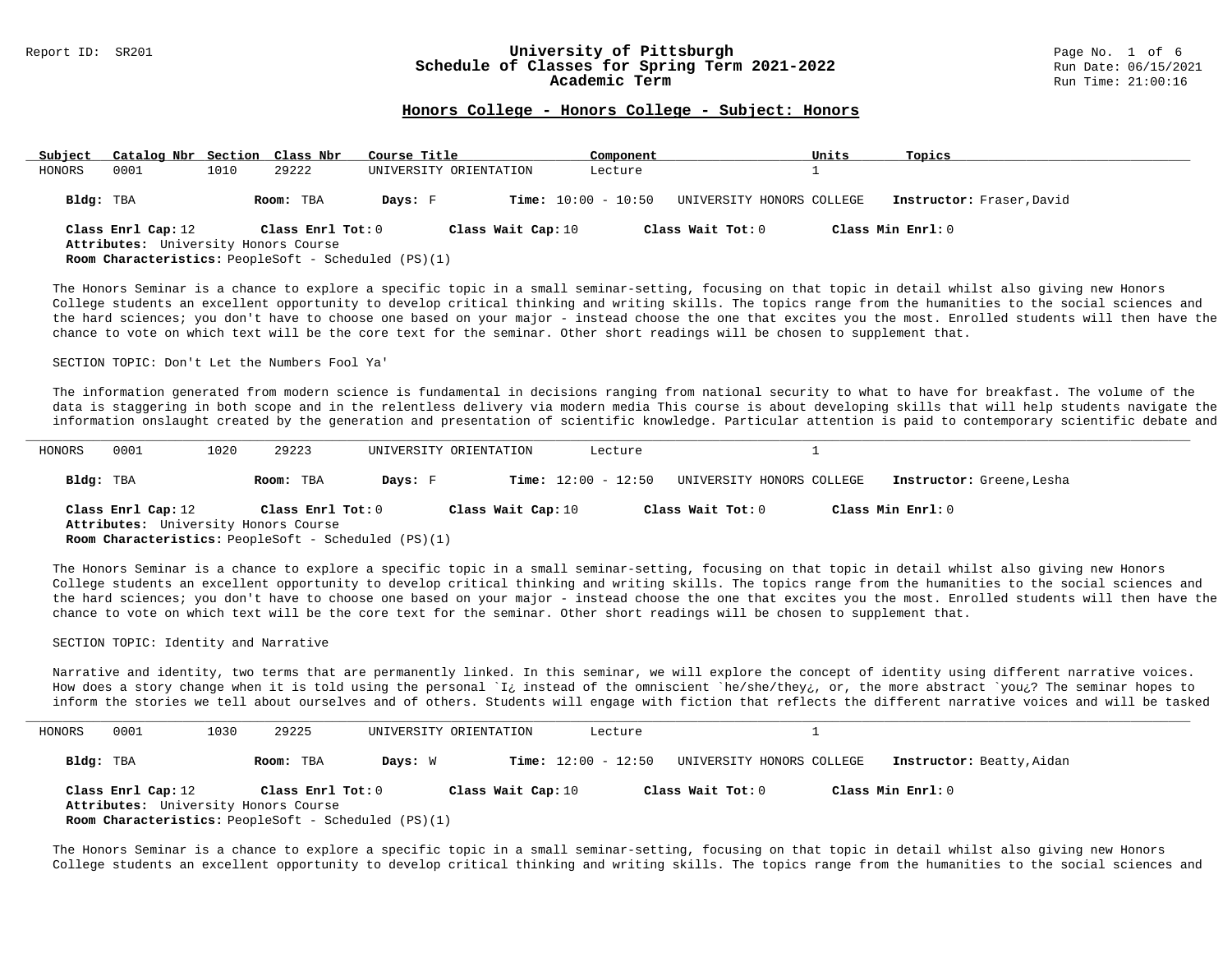### Report ID: SR201 **1988 Mage 10: SR201 University of Pittsburgh University of Pittsburgh** Page No. 1 of 6<br>**Schedule of Classes for Spring Term 2021-2022** 1996 Man Date: 06/15/2021 Schedule of Classes for Spring Term 2021-2022

### **Honors College - Honors College - Subject: Honors**

| Subject   | Catalog Nbr Section Class Nbr                                                                                             |      |                   | Course Title |                        |                              | Component |                           | Units | Topics                    |
|-----------|---------------------------------------------------------------------------------------------------------------------------|------|-------------------|--------------|------------------------|------------------------------|-----------|---------------------------|-------|---------------------------|
| HONORS    | 0001                                                                                                                      | 1010 | 29222             |              | UNIVERSITY ORIENTATION |                              | Lecture   |                           |       |                           |
| Bldg: TBA |                                                                                                                           |      | Room: TBA         | Days: F      |                        | <b>Time:</b> $10:00 - 10:50$ |           | UNIVERSITY HONORS COLLEGE |       | Instructor: Fraser, David |
|           | Class Enrl Cap: 12<br>Attributes: University Honors Course<br><b>Room Characteristics:</b> PeopleSoft - Scheduled (PS)(1) |      | Class Enrl Tot: 0 |              | Class Wait Cap: 10     |                              |           | Class Wait Tot: 0         |       | Class Min Enrl: 0         |

The Honors Seminar is a chance to explore a specific topic in a small seminar-setting, focusing on that topic in detail whilst also giving new Honors College students an excellent opportunity to develop critical thinking and writing skills. The topics range from the humanities to the social sciences and the hard sciences; you don't have to choose one based on your major - instead choose the one that excites you the most. Enrolled students will then have the chance to vote on which text will be the core text for the seminar. Other short readings will be chosen to supplement that.

SECTION TOPIC: Don't Let the Numbers Fool Ya'

The information generated from modern science is fundamental in decisions ranging from national security to what to have for breakfast. The volume of the data is staggering in both scope and in the relentless delivery via modern media This course is about developing skills that will help students navigate the information onslaught created by the generation and presentation of scientific knowledge. Particular attention is paid to contemporary scientific debate and

| HONORS    | 0001               | 1020 | 29223                                                                                               |         | UNIVERSITY ORIENTATION | Lecture                      |                           |                           |
|-----------|--------------------|------|-----------------------------------------------------------------------------------------------------|---------|------------------------|------------------------------|---------------------------|---------------------------|
| Bldg: TBA |                    |      | Room: TBA                                                                                           | Days: F |                        | <b>Time:</b> $12:00 - 12:50$ | UNIVERSITY HONORS COLLEGE | Instructor: Greene, Lesha |
|           | Class Enrl Cap: 12 |      | Class Enrl Tot: 0                                                                                   |         | Class Wait Cap: 10     |                              | Class Wait Tot: 0         | Class Min Enrl: 0         |
|           |                    |      | Attributes: University Honors Course<br><b>Room Characteristics:</b> PeopleSoft - Scheduled (PS)(1) |         |                        |                              |                           |                           |

The Honors Seminar is a chance to explore a specific topic in a small seminar-setting, focusing on that topic in detail whilst also giving new Honors College students an excellent opportunity to develop critical thinking and writing skills. The topics range from the humanities to the social sciences and the hard sciences; you don't have to choose one based on your major - instead choose the one that excites you the most. Enrolled students will then have the chance to vote on which text will be the core text for the seminar. Other short readings will be chosen to supplement that.

#### SECTION TOPIC: Identity and Narrative

Narrative and identity, two terms that are permanently linked. In this seminar, we will explore the concept of identity using different narrative voices. How does a story change when it is told using the personal `I¿ instead of the omniscient `he/she/they¿, or, the more abstract `you¿? The seminar hopes to inform the stories we tell about ourselves and of others. Students will engage with fiction that reflects the different narrative voices and will be tasked

| HONORS    | 0001               | 1030 | 29225                                                                                                                    |         | UNIVERSITY ORIENTATION | Lecture                      |                           |                           |
|-----------|--------------------|------|--------------------------------------------------------------------------------------------------------------------------|---------|------------------------|------------------------------|---------------------------|---------------------------|
| Bldg: TBA |                    |      | Room: TBA                                                                                                                | Days: W |                        | <b>Time:</b> $12:00 - 12:50$ | UNIVERSITY HONORS COLLEGE | Instructor: Beatty, Aidan |
|           | Class Enrl Cap: 12 |      | Class Enrl Tot: 0<br>Attributes: University Honors Course<br><b>Room Characteristics:</b> PeopleSoft - Scheduled (PS)(1) |         | Class Wait Cap: 10     |                              | Class Wait Tot: 0         | Class Min Enrl: 0         |

The Honors Seminar is a chance to explore a specific topic in a small seminar-setting, focusing on that topic in detail whilst also giving new Honors College students an excellent opportunity to develop critical thinking and writing skills. The topics range from the humanities to the social sciences and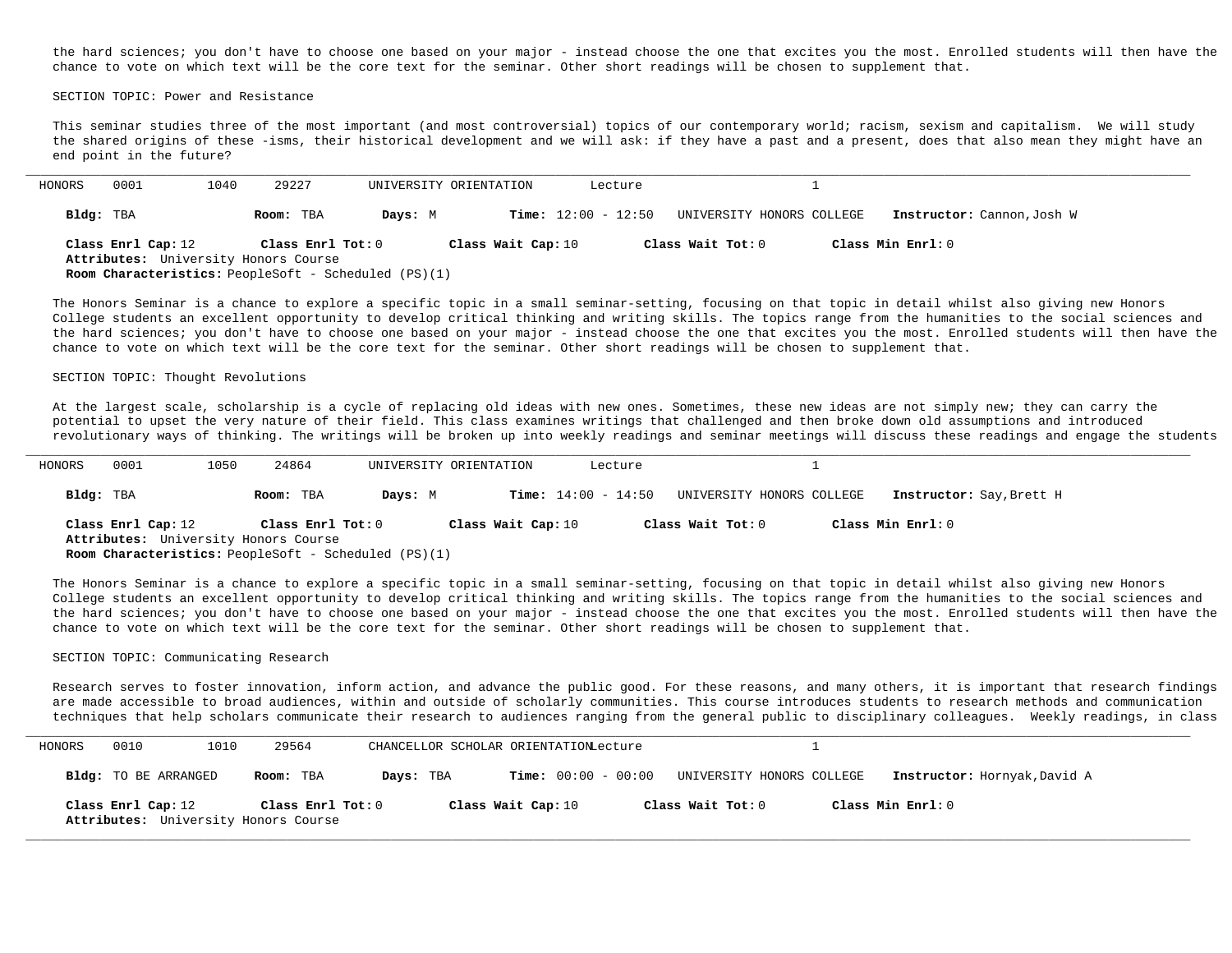the hard sciences; you don't have to choose one based on your major - instead choose the one that excites you the most. Enrolled students will then have the chance to vote on which text will be the core text for the seminar. Other short readings will be chosen to supplement that.

SECTION TOPIC: Power and Resistance

This seminar studies three of the most important (and most controversial) topics of our contemporary world; racism, sexism and capitalism. We will study the shared origins of these -isms, their historical development and we will ask: if they have a past and a present, does that also mean they might have an end point in the future?

| Bldg: TBA<br><b>Time:</b> $12:00 - 12:50$<br>UNIVERSITY HONORS COLLEGE<br>Room: TBA<br>Days: M<br>Class Min Enrl: 0<br>Class Enrl Cap: 12<br>Class Wait Cap: 10<br>Class Wait Tot: 0<br>Class Enrl Tot: 0 | HONORS | 0001 | 1040 | 29227                                                       | UNIVERSITY ORIENTATION | Lecture |  |                            |
|-----------------------------------------------------------------------------------------------------------------------------------------------------------------------------------------------------------|--------|------|------|-------------------------------------------------------------|------------------------|---------|--|----------------------------|
|                                                                                                                                                                                                           |        |      |      |                                                             |                        |         |  | Instructor: Cannon, Josh W |
| Attributes: University Honors Course                                                                                                                                                                      |        |      |      |                                                             |                        |         |  |                            |
|                                                                                                                                                                                                           |        |      |      | <b>Room Characteristics:</b> PeopleSoft - Scheduled (PS)(1) |                        |         |  |                            |

The Honors Seminar is a chance to explore a specific topic in a small seminar-setting, focusing on that topic in detail whilst also giving new Honors College students an excellent opportunity to develop critical thinking and writing skills. The topics range from the humanities to the social sciences and the hard sciences; you don't have to choose one based on your major - instead choose the one that excites you the most. Enrolled students will then have the chance to vote on which text will be the core text for the seminar. Other short readings will be chosen to supplement that.

#### SECTION TOPIC: Thought Revolutions

At the largest scale, scholarship is a cycle of replacing old ideas with new ones. Sometimes, these new ideas are not simply new; they can carry the potential to upset the very nature of their field. This class examines writings that challenged and then broke down old assumptions and introduced revolutionary ways of thinking. The writings will be broken up into weekly readings and seminar meetings will discuss these readings and engage the students

| HONORS    | 0001               | 1050 | 24864                                                       |         | UNIVERSITY ORIENTATION | Lecture                      |                           |                          |
|-----------|--------------------|------|-------------------------------------------------------------|---------|------------------------|------------------------------|---------------------------|--------------------------|
| Bldg: TBA |                    |      | Room: TBA                                                   | Davs: M |                        | <b>Time:</b> $14:00 - 14:50$ | UNIVERSITY HONORS COLLEGE | Instructor: Say, Brett H |
|           | Class Enrl Cap: 12 |      | Class Enrl Tot: 0<br>Attributes: University Honors Course   |         | Class Wait Cap: 10     |                              | Class Wait Tot: 0         | Class Min Enrl: 0        |
|           |                    |      | <b>Room Characteristics:</b> PeopleSoft - Scheduled (PS)(1) |         |                        |                              |                           |                          |

The Honors Seminar is a chance to explore a specific topic in a small seminar-setting, focusing on that topic in detail whilst also giving new Honors College students an excellent opportunity to develop critical thinking and writing skills. The topics range from the humanities to the social sciences and the hard sciences; you don't have to choose one based on your major - instead choose the one that excites you the most. Enrolled students will then have the chance to vote on which text will be the core text for the seminar. Other short readings will be chosen to supplement that.

#### SECTION TOPIC: Communicating Research

Research serves to foster innovation, inform action, and advance the public good. For these reasons, and many others, it is important that research findings are made accessible to broad audiences, within and outside of scholarly communities. This course introduces students to research methods and communication techniques that help scholars communicate their research to audiences ranging from the general public to disciplinary colleagues. Weekly readings, in class

| HONORS | 0010                 | 1010 | 29564                                                     | CHANCELLOR SCHOLAR ORIENTATIONLecture |                       |                           |                              |
|--------|----------------------|------|-----------------------------------------------------------|---------------------------------------|-----------------------|---------------------------|------------------------------|
|        | Bldg: TO BE ARRANGED |      | Room: TBA                                                 | Days: TBA                             | $Time: 00:00 - 00:00$ | UNIVERSITY HONORS COLLEGE | Instructor: Hornyak, David A |
|        | Class Enrl Cap: 12   |      | Class Enrl Tot: 0<br>Attributes: University Honors Course |                                       | Class Wait Cap: 10    | Class Wait Tot: 0         | Class Min Enrl: 0            |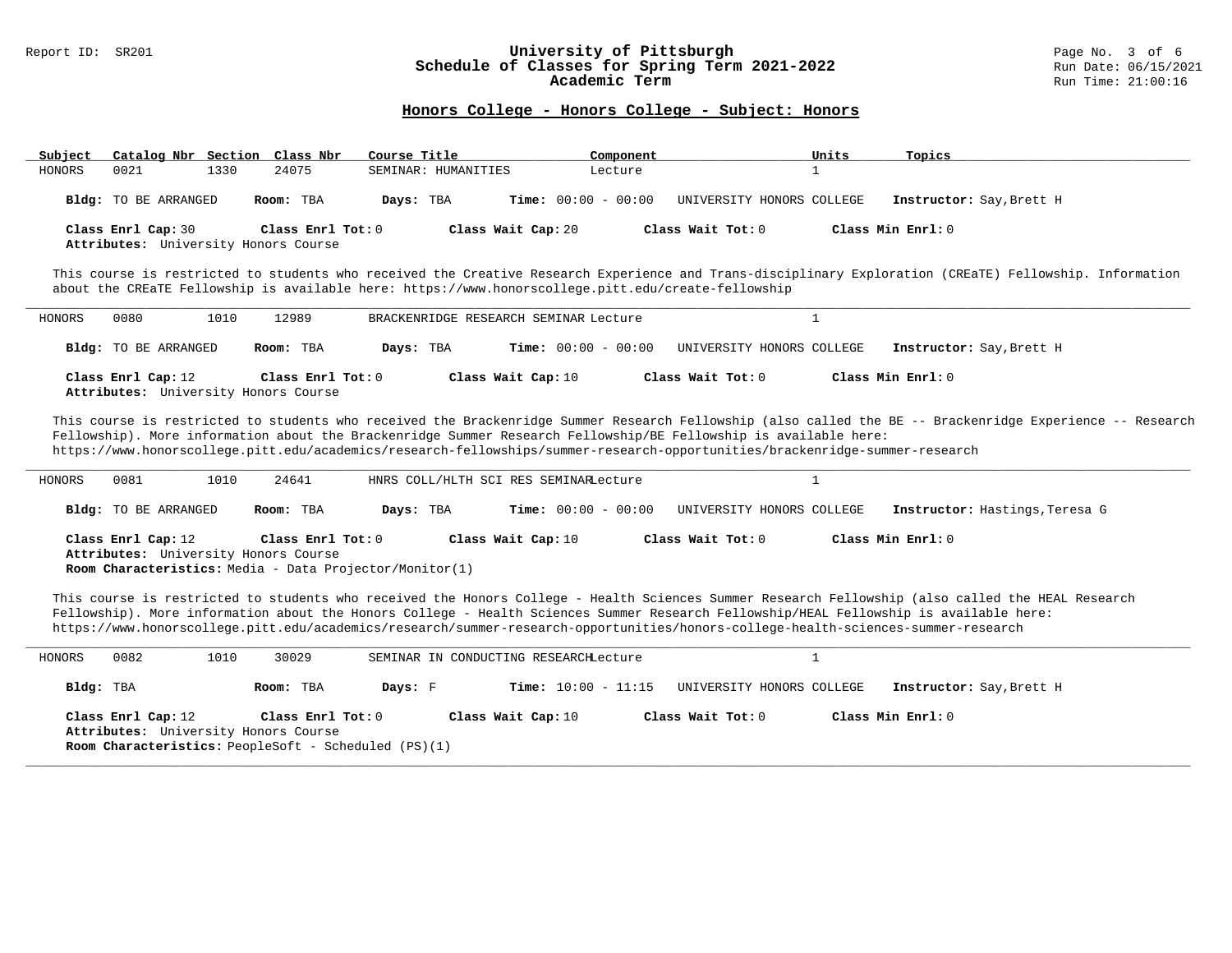## Report ID: SR201 **1988 Chedule of Classes for Spring Term 2021-2022** Page No. 3 of 6 and Date: 06/15/2021 Page No. 3 of 6 and Date: 06/15/2021 Schedule of Classes for Spring Term 2021-2022<br>Academic Term

### **Honors College - Honors College - Subject: Honors**

| Subject | Catalog Nbr Section Class Nbr                              |      |                   | Course Title |                     | Component             |                           | Units | Topics                   |
|---------|------------------------------------------------------------|------|-------------------|--------------|---------------------|-----------------------|---------------------------|-------|--------------------------|
| HONORS  | 0021                                                       | 1330 | 24075             |              | SEMINAR: HUMANITIES | Lecture               |                           |       |                          |
|         | Bldg: TO BE ARRANGED                                       |      | Room: TBA         | Days: TBA    |                     | $Time: 00:00 - 00:00$ | UNIVERSITY HONORS COLLEGE |       | Instructor: Say, Brett H |
|         | Class Enrl Cap: 30<br>Attributes: University Honors Course |      | Class Enrl Tot: 0 |              | Class Wait Cap: 20  |                       | Class Wait Tot: 0         |       | Class Min Enrl: 0        |

This course is restricted to students who received the Creative Research Experience and Trans-disciplinary Exploration (CREaTE) Fellowship. Information about the CREaTE Fellowship is available here: https://www.honorscollege.pitt.edu/create-fellowship

| HONORS | 0080                 | 1010 | 12989                                                     |           | BRACKENRIDGE RESEARCH SEMINAR Lecture |                           |                          |
|--------|----------------------|------|-----------------------------------------------------------|-----------|---------------------------------------|---------------------------|--------------------------|
|        | Bldg: TO BE ARRANGED |      | Room: TBA                                                 | Days: TBA | <b>Time:</b> $00:00 - 00:00$          | UNIVERSITY HONORS COLLEGE | Instructor: Say, Brett H |
|        | Class Enrl Cap: 12   |      | Class Enrl Tot: 0<br>Attributes: University Honors Course |           | Class Wait Cap: 10                    | Class Wait Tot: 0         | Class Min Enrl: 0        |

This course is restricted to students who received the Brackenridge Summer Research Fellowship (also called the BE -- Brackenridge Experience -- Research Fellowship). More information about the Brackenridge Summer Research Fellowship/BE Fellowship is available here: https://www.honorscollege.pitt.edu/academics/research-fellowships/summer-research-opportunities/brackenridge-summer-research

| HONORS | 0081                        | 1010 | 24641                                                       |           | HNRS COLL/HLTH SCI RES SEMINARLecture |                           |  |                                |
|--------|-----------------------------|------|-------------------------------------------------------------|-----------|---------------------------------------|---------------------------|--|--------------------------------|
|        | <b>Bldg:</b> TO BE ARRANGED |      | Room: TBA                                                   | Days: TBA | $Time: 00:00 - 00:00$                 | UNIVERSITY HONORS COLLEGE |  | Instructor: Hastings, Teresa G |
|        | Class Enrl Cap: 12          |      | Class $Enr1 Tot: 0$<br>Attributes: University Honors Course |           | Class Wait Cap: 10                    | Class Wait Tot: 0         |  | Class Min Enrl: 0              |
|        |                             |      | Room Characteristics: Media - Data Projector/Monitor(1)     |           |                                       |                           |  |                                |

This course is restricted to students who received the Honors College - Health Sciences Summer Research Fellowship (also called the HEAL Research Fellowship). More information about the Honors College - Health Sciences Summer Research Fellowship/HEAL Fellowship is available here: https://www.honorscollege.pitt.edu/academics/research/summer-research-opportunities/honors-college-health-sciences-summer-research

| HONORS | 0082               | 1010 | 30029                                                       |         | SEMINAR IN CONDUCTING RESEARCHLecture |                           |                          |
|--------|--------------------|------|-------------------------------------------------------------|---------|---------------------------------------|---------------------------|--------------------------|
|        | Bldg: TBA          |      | Room: TBA                                                   | Days: F | <b>Time:</b> $10:00 - 11:15$          | UNIVERSITY HONORS COLLEGE | Instructor: Say, Brett H |
|        | Class Enrl Cap: 12 |      | Class $Enr1 Tot: 0$<br>Attributes: University Honors Course |         | Class Wait Cap: 10                    | Class Wait Tot: $0$       | Class Min $Enr1:0$       |
|        |                    |      | <b>Room Characteristics:</b> PeopleSoft - Scheduled (PS)(1) |         |                                       |                           |                          |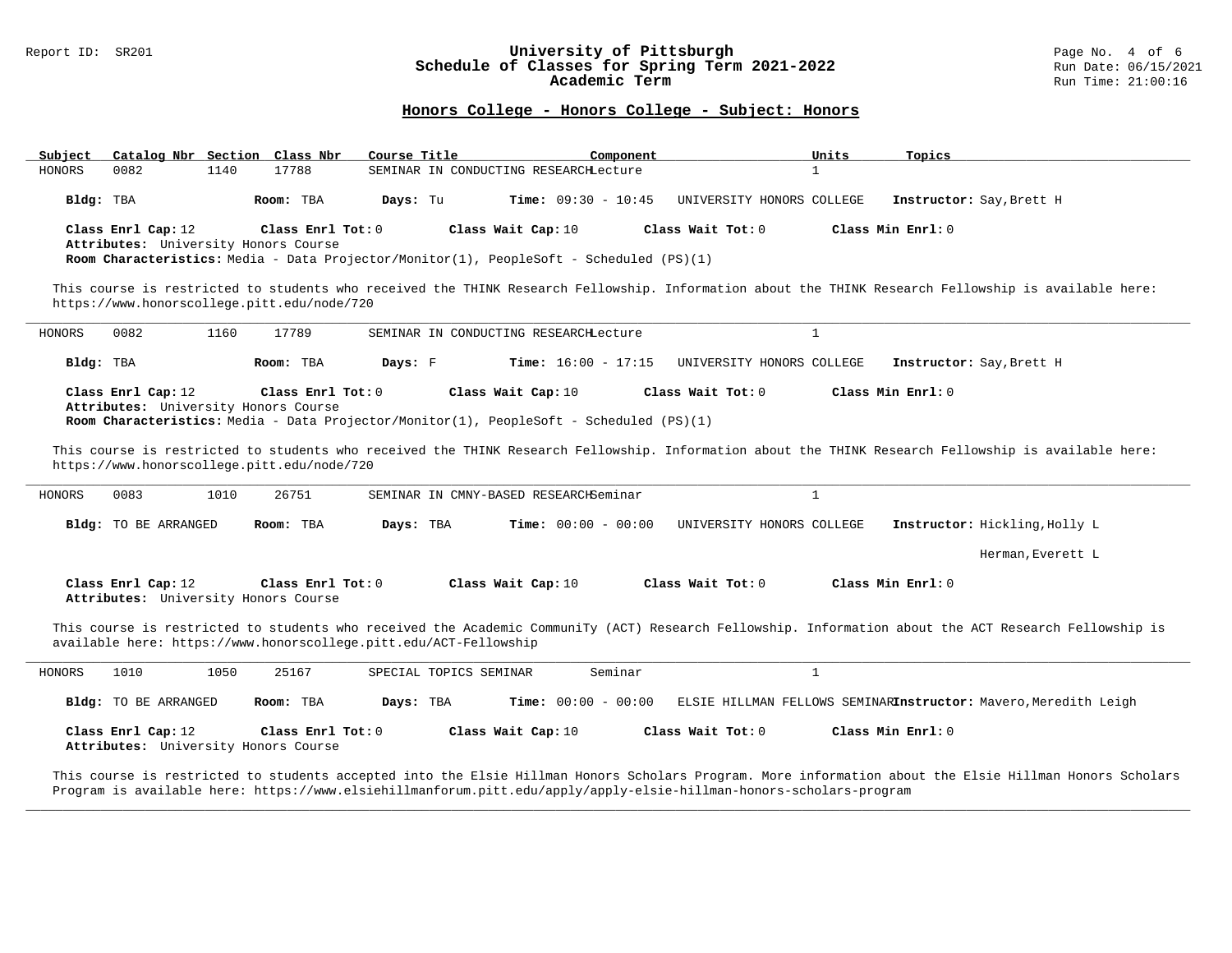# Report ID: SR201 **University of Pittsburgh University of Pittsburgh** Page No. 4 of 6<br>**Schedule of Classes for Spring Term 2021-2022** Run Date: 06/15/2021 Schedule of Classes for Spring Term 2021-2022<br>Academic Term

### **Honors College - Honors College - Subject: Honors**

| Subject              | Catalog Nbr Section Class Nbr                                                                                                                                                                         | Course Title           | Component                             | Units                     | Topics                                                                                                                                                                    |
|----------------------|-------------------------------------------------------------------------------------------------------------------------------------------------------------------------------------------------------|------------------------|---------------------------------------|---------------------------|---------------------------------------------------------------------------------------------------------------------------------------------------------------------------|
| HONORS<br>0082       | 1140<br>17788                                                                                                                                                                                         |                        | SEMINAR IN CONDUCTING RESEARCHLecture | $\mathbf{1}$              |                                                                                                                                                                           |
| Bldg: TBA            | Room: TBA                                                                                                                                                                                             | Days: Tu               | <b>Time:</b> $09:30 - 10:45$          | UNIVERSITY HONORS COLLEGE | Instructor: Say, Brett H                                                                                                                                                  |
| Class Enrl Cap: 12   | Class Enrl Tot: $0$<br>Attributes: University Honors Course<br>Room Characteristics: Media - Data Projector/Monitor(1), PeopleSoft - Scheduled (PS)(1)                                                |                        | Class Wait Cap: 10                    | Class Wait Tot: 0         | Class Min Enrl: 0                                                                                                                                                         |
|                      | https://www.honorscollege.pitt.edu/node/720                                                                                                                                                           |                        |                                       |                           | This course is restricted to students who received the THINK Research Fellowship. Information about the THINK Research Fellowship is available here:                      |
| 0082<br>HONORS       | 1160<br>17789                                                                                                                                                                                         |                        | SEMINAR IN CONDUCTING RESEARCHLecture | $\mathbf{1}$              |                                                                                                                                                                           |
| Bldg: TBA            | Room: TBA                                                                                                                                                                                             | Days: F                | <b>Time:</b> $16:00 - 17:15$          | UNIVERSITY HONORS COLLEGE | Instructor: Say, Brett H                                                                                                                                                  |
| Class Enrl Cap: 12   | Class Enrl Tot: $0$<br>Attributes: University Honors Course<br>Room Characteristics: Media - Data Projector/Monitor(1), PeopleSoft - Scheduled (PS)(1)<br>https://www.honorscollege.pitt.edu/node/720 |                        | Class Wait Cap: 10                    | Class Wait Tot: 0         | Class Min Enrl: 0<br>This course is restricted to students who received the THINK Research Fellowship. Information about the THINK Research Fellowship is available here: |
| HONORS<br>0083       | 26751<br>1010                                                                                                                                                                                         |                        | SEMINAR IN CMNY-BASED RESEARCHSeminar | $\mathbf{1}$              |                                                                                                                                                                           |
| Bldg: TO BE ARRANGED | Room: TBA                                                                                                                                                                                             | Days: TBA              | <b>Time:</b> $00:00 - 00:00$          | UNIVERSITY HONORS COLLEGE | Instructor: Hickling, Holly L                                                                                                                                             |
|                      |                                                                                                                                                                                                       |                        |                                       |                           | Herman, Everett L                                                                                                                                                         |
| Class Enrl Cap: 12   | Class Enrl Tot: 0<br>Attributes: University Honors Course                                                                                                                                             |                        | Class Wait Cap: 10                    | Class Wait Tot: 0         | Class Min $Err1:0$                                                                                                                                                        |
|                      | available here: https://www.honorscollege.pitt.edu/ACT-Fellowship                                                                                                                                     |                        |                                       |                           | This course is restricted to students who received the Academic CommuniTy (ACT) Research Fellowship. Information about the ACT Research Fellowship is                     |
| 1010<br>HONORS       | 1050<br>25167                                                                                                                                                                                         | SPECIAL TOPICS SEMINAR | Seminar                               | $\mathbf{1}$              |                                                                                                                                                                           |
| Bldg: TO BE ARRANGED | Room: TBA                                                                                                                                                                                             | Days: TBA              | <b>Time:</b> $00:00 - 00:00$          |                           | ELSIE HILLMAN FELLOWS SEMINARInstructor: Mavero, Meredith Leigh                                                                                                           |
| Class Enrl Cap: 12   | Class Enrl Tot: $0$<br>Attributes: University Honors Course                                                                                                                                           |                        | Class Wait Cap: 10                    | Class Wait Tot: 0         | Class Min Enrl: 0                                                                                                                                                         |

This course is restricted to students accepted into the Elsie Hillman Honors Scholars Program. More information about the Elsie Hillman Honors Scholars Program is available here: https://www.elsiehillmanforum.pitt.edu/apply/apply-elsie-hillman-honors-scholars-program

**\_\_\_\_\_\_\_\_\_\_\_\_\_\_\_\_\_\_\_\_\_\_\_\_\_\_\_\_\_\_\_\_\_\_\_\_\_\_\_\_\_\_\_\_\_\_\_\_\_\_\_\_\_\_\_\_\_\_\_\_\_\_\_\_\_\_\_\_\_\_\_\_\_\_\_\_\_\_\_\_\_\_\_\_\_\_\_\_\_\_\_\_\_\_\_\_\_\_\_\_\_\_\_\_\_\_\_\_\_\_\_\_\_\_\_\_\_\_\_\_\_\_\_\_\_\_\_\_\_\_\_\_\_\_\_\_\_\_\_\_\_\_\_\_\_\_\_\_\_\_\_\_\_\_\_\_**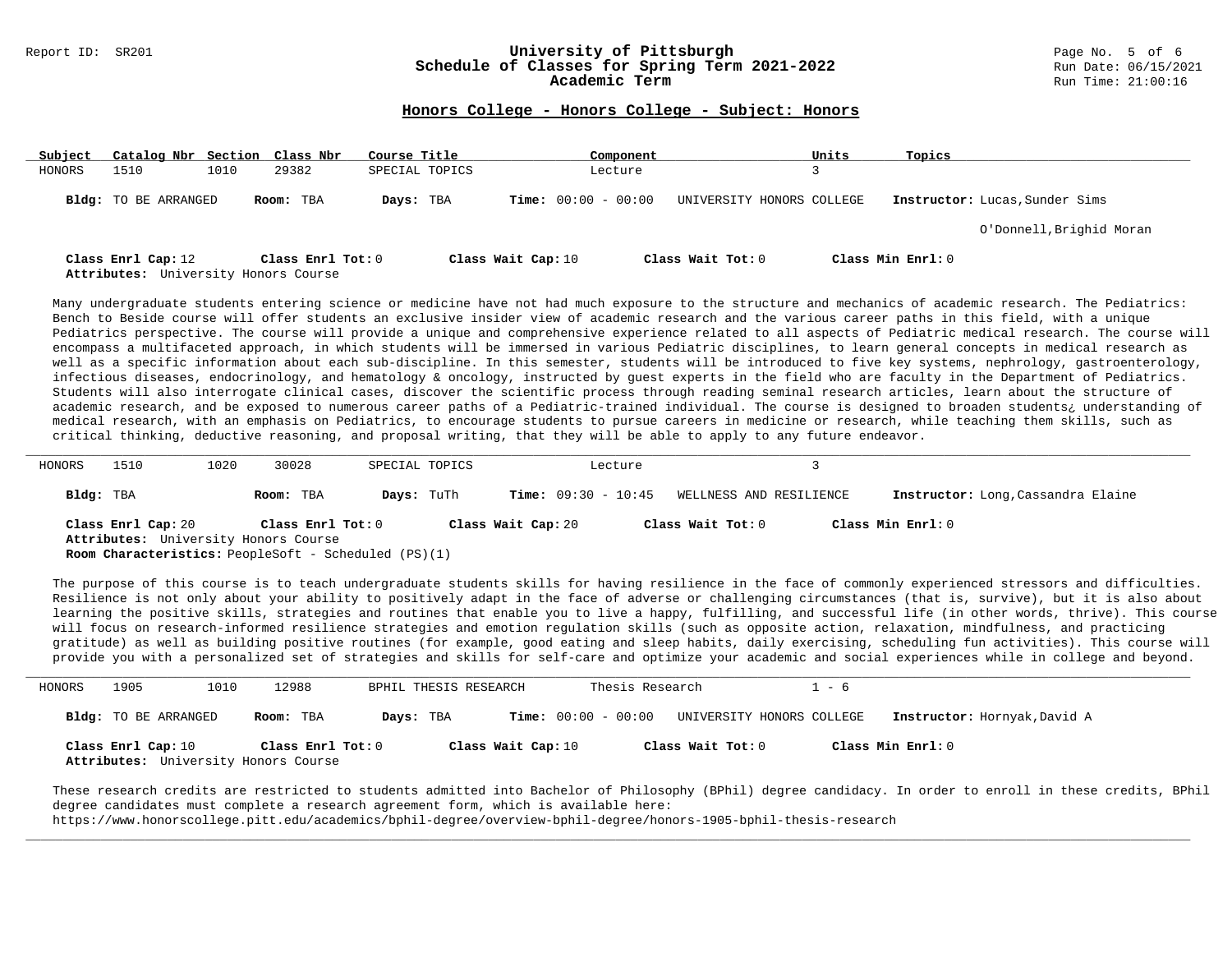### Report ID: SR201 **1988 Mage 10: SR201 University of Pittsburgh University of Pittsburgh** Page No. 5 of 6 and Date: 06/15/2021 Schedule of Classes for Spring Term 2021-2022<br>Academic Term

### **Honors College - Honors College - Subject: Honors**

| Subject | Catalog Nbr Section Class Nbr                              |      |                   | Course Title   |                    |                              | Component |                           | Units | Topics            |                                |
|---------|------------------------------------------------------------|------|-------------------|----------------|--------------------|------------------------------|-----------|---------------------------|-------|-------------------|--------------------------------|
| HONORS  | 1510                                                       | 1010 | 29382             | SPECIAL TOPICS |                    |                              | Lecture   |                           |       |                   |                                |
|         | Bldg: TO BE ARRANGED                                       |      | Room: TBA         | Days: TBA      |                    | <b>Time:</b> $00:00 - 00:00$ |           | UNIVERSITY HONORS COLLEGE |       |                   | Instructor: Lucas, Sunder Sims |
|         |                                                            |      |                   |                |                    |                              |           |                           |       |                   | O'Donnell, Brighid Moran       |
|         |                                                            |      | Class Enrl Tot: 0 |                |                    |                              |           | Class Wait Tot: 0         |       | Class Min Enrl: 0 |                                |
|         | Class Enrl Cap: 12<br>Attributes: University Honors Course |      |                   |                | Class Wait Cap: 10 |                              |           |                           |       |                   |                                |

Many undergraduate students entering science or medicine have not had much exposure to the structure and mechanics of academic research. The Pediatrics: Bench to Beside course will offer students an exclusive insider view of academic research and the various career paths in this field, with a unique Pediatrics perspective. The course will provide a unique and comprehensive experience related to all aspects of Pediatric medical research. The course will encompass a multifaceted approach, in which students will be immersed in various Pediatric disciplines, to learn general concepts in medical research as well as a specific information about each sub-discipline. In this semester, students will be introduced to five key systems, nephrology, gastroenterology, infectious diseases, endocrinology, and hematology & oncology, instructed by guest experts in the field who are faculty in the Department of Pediatrics. Students will also interrogate clinical cases, discover the scientific process through reading seminal research articles, learn about the structure of academic research, and be exposed to numerous career paths of a Pediatric-trained individual. The course is designed to broaden students¿ understanding of medical research, with an emphasis on Pediatrics, to encourage students to pursue careers in medicine or research, while teaching them skills, such as critical thinking, deductive reasoning, and proposal writing, that they will be able to apply to any future endeavor.

| HONORS    | 1510               | 1020 | 30028                                                                                                                    | SPECIAL TOPICS    |                              | Lecture |                         |                                    |
|-----------|--------------------|------|--------------------------------------------------------------------------------------------------------------------------|-------------------|------------------------------|---------|-------------------------|------------------------------------|
| Bldg: TBA |                    |      | Room: TBA                                                                                                                | <b>Days:</b> TuTh | <b>Time:</b> $09:30 - 10:45$ |         | WELLNESS AND RESILIENCE | Instructor: Long, Cassandra Elaine |
|           | Class Enrl Cap: 20 |      | Class Enrl Tot: 0<br>Attributes: University Honors Course<br><b>Room Characteristics:</b> PeopleSoft - Scheduled (PS)(1) |                   | Class Wait Cap: 20           |         | Class Wait Tot: 0       | Class Min Enrl: 0                  |

The purpose of this course is to teach undergraduate students skills for having resilience in the face of commonly experienced stressors and difficulties. Resilience is not only about your ability to positively adapt in the face of adverse or challenging circumstances (that is, survive), but it is also about learning the positive skills, strategies and routines that enable you to live a happy, fulfilling, and successful life (in other words, thrive). This course will focus on research-informed resilience strategies and emotion regulation skills (such as opposite action, relaxation, mindfulness, and practicing gratitude) as well as building positive routines (for example, good eating and sleep habits, daily exercising, scheduling fun activities). This course will provide you with a personalized set of strategies and skills for self-care and optimize your academic and social experiences while in college and beyond.

| HONORS | 1905                 | 1010 | 12988                                                     | BPHIL THESIS RESEARCH |                              | Thesis Research   | 1 - 6                     |                              |
|--------|----------------------|------|-----------------------------------------------------------|-----------------------|------------------------------|-------------------|---------------------------|------------------------------|
|        | Bldg: TO BE ARRANGED |      | Room: TBA                                                 | Days: TBA             | <b>Time:</b> $00:00 - 00:00$ |                   | UNIVERSITY HONORS COLLEGE | Instructor: Hornyak, David A |
|        | Class Enrl Cap: 10   |      | Class Enrl Tot: 0<br>Attributes: University Honors Course |                       | Class Wait Cap: 10           | Class Wait Tot: 0 |                           | Class Min Enrl: 0            |

These research credits are restricted to students admitted into Bachelor of Philosophy (BPhil) degree candidacy. In order to enroll in these credits, BPhil degree candidates must complete a research agreement form, which is available here:

**\_\_\_\_\_\_\_\_\_\_\_\_\_\_\_\_\_\_\_\_\_\_\_\_\_\_\_\_\_\_\_\_\_\_\_\_\_\_\_\_\_\_\_\_\_\_\_\_\_\_\_\_\_\_\_\_\_\_\_\_\_\_\_\_\_\_\_\_\_\_\_\_\_\_\_\_\_\_\_\_\_\_\_\_\_\_\_\_\_\_\_\_\_\_\_\_\_\_\_\_\_\_\_\_\_\_\_\_\_\_\_\_\_\_\_\_\_\_\_\_\_\_\_\_\_\_\_\_\_\_\_\_\_\_\_\_\_\_\_\_\_\_\_\_\_\_\_\_\_\_\_\_\_\_\_\_**

https://www.honorscollege.pitt.edu/academics/bphil-degree/overview-bphil-degree/honors-1905-bphil-thesis-research